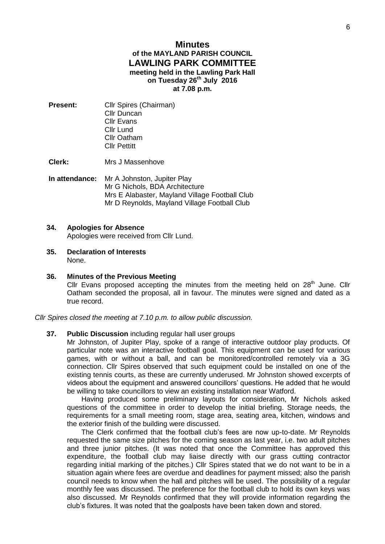# **Minutes of the MAYLAND PARISH COUNCIL LAWLING PARK COMMITTEE meeting held in the Lawling Park Hall on Tuesday 26th July 2016 at 7.08 p.m.**

**Present:** Cllr Spires (Chairman) Cllr Duncan Cllr Evans Cllr Lund Cllr Oatham Cllr Pettitt

**Clerk:** Mrs J Massenhove

**In attendance:** Mr A Johnston, Jupiter Play Mr G Nichols, BDA Architecture Mrs E Alabaster, Mayland Village Football Club Mr D Reynolds, Mayland Village Football Club

## **34. Apologies for Absence**

Apologies were received from Cllr Lund.

- **35. Declaration of Interests** None.
- **36. Minutes of the Previous Meeting**  Cllr Evans proposed accepting the minutes from the meeting held on  $28<sup>th</sup>$  June. Cllr Oatham seconded the proposal, all in favour. The minutes were signed and dated as a true record.

*Cllr Spires closed the meeting at 7.10 p.m. to allow public discussion.* 

**37. Public Discussion** including regular hall user groups

Mr Johnston, of Jupiter Play, spoke of a range of interactive outdoor play products. Of particular note was an interactive football goal. This equipment can be used for various games, with or without a ball, and can be monitored/controlled remotely via a 3G connection. Cllr Spires observed that such equipment could be installed on one of the existing tennis courts, as these are currently underused. Mr Johnston showed excerpts of videos about the equipment and answered councillors' questions. He added that he would be willing to take councillors to view an existing installation near Watford.

Having produced some preliminary layouts for consideration, Mr Nichols asked questions of the committee in order to develop the initial briefing. Storage needs, the requirements for a small meeting room, stage area, seating area, kitchen, windows and the exterior finish of the building were discussed.

The Clerk confirmed that the football club's fees are now up-to-date. Mr Reynolds requested the same size pitches for the coming season as last year, i.e. two adult pitches and three junior pitches. (It was noted that once the Committee has approved this expenditure, the football club may liaise directly with our grass cutting contractor regarding initial marking of the pitches.) Cllr Spires stated that we do not want to be in a situation again where fees are overdue and deadlines for payment missed; also the parish council needs to know when the hall and pitches will be used. The possibility of a regular monthly fee was discussed. The preference for the football club to hold its own keys was also discussed. Mr Reynolds confirmed that they will provide information regarding the club's fixtures. It was noted that the goalposts have been taken down and stored.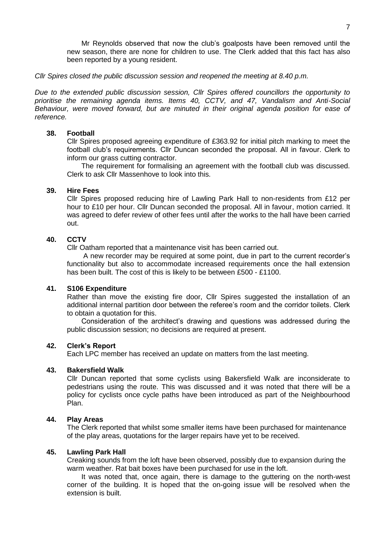Mr Reynolds observed that now the club's goalposts have been removed until the new season, there are none for children to use. The Clerk added that this fact has also been reported by a young resident.

*Cllr Spires closed the public discussion session and reopened the meeting at 8.40 p.m.* 

*Due to the extended public discussion session, Cllr Spires offered councillors the opportunity to prioritise the remaining agenda items. Items 40, CCTV, and 47, Vandalism and Anti-Social Behaviour, were moved forward, but are minuted in their original agenda position for ease of reference.*

# **38. Football**

Cllr Spires proposed agreeing expenditure of £363.92 for initial pitch marking to meet the football club's requirements. Cllr Duncan seconded the proposal. All in favour. Clerk to inform our grass cutting contractor.

The requirement for formalising an agreement with the football club was discussed. Clerk to ask Cllr Massenhove to look into this.

#### **39. Hire Fees**

Cllr Spires proposed reducing hire of Lawling Park Hall to non-residents from £12 per hour to £10 per hour. Cllr Duncan seconded the proposal. All in favour, motion carried. It was agreed to defer review of other fees until after the works to the hall have been carried out.

# **40. CCTV**

Cllr Oatham reported that a maintenance visit has been carried out.

A new recorder may be required at some point, due in part to the current recorder's functionality but also to accommodate increased requirements once the hall extension has been built. The cost of this is likely to be between £500 - £1100.

#### **41. S106 Expenditure**

Rather than move the existing fire door, Cllr Spires suggested the installation of an additional internal partition door between the referee's room and the corridor toilets. Clerk to obtain a quotation for this.

Consideration of the architect's drawing and questions was addressed during the public discussion session; no decisions are required at present.

### **42. Clerk's Report**

Each LPC member has received an update on matters from the last meeting.

#### **43. Bakersfield Walk**

Cllr Duncan reported that some cyclists using Bakersfield Walk are inconsiderate to pedestrians using the route. This was discussed and it was noted that there will be a policy for cyclists once cycle paths have been introduced as part of the Neighbourhood Plan.

#### **44. Play Areas**

The Clerk reported that whilst some smaller items have been purchased for maintenance of the play areas, quotations for the larger repairs have yet to be received.

#### **45. Lawling Park Hall**

Creaking sounds from the loft have been observed, possibly due to expansion during the warm weather. Rat bait boxes have been purchased for use in the loft.

It was noted that, once again, there is damage to the guttering on the north-west corner of the building. It is hoped that the on-going issue will be resolved when the extension is built.